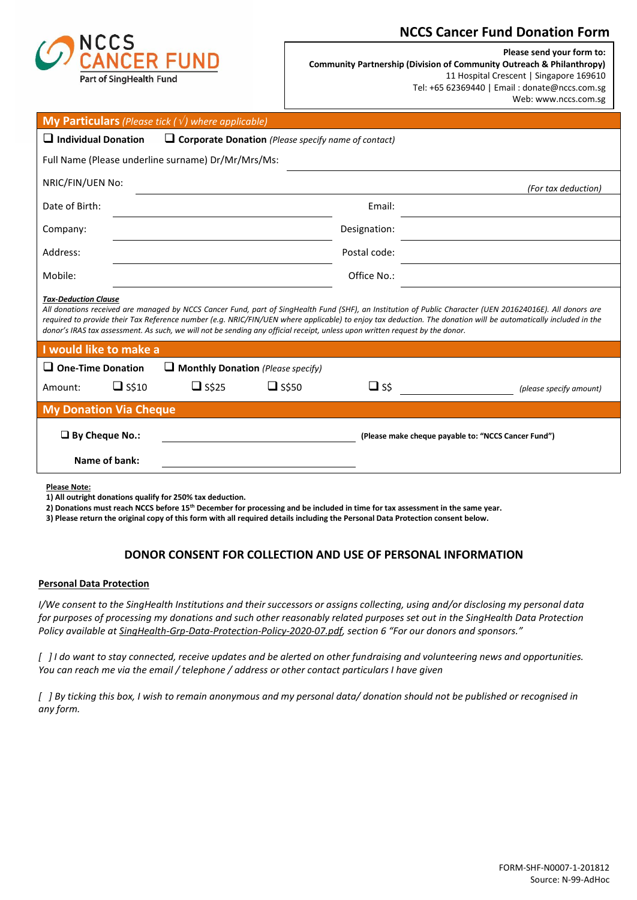

## **NCCS Cancer Fund Donation Form**

**Please send your form to: Community Partnership (Division of Community Outreach & Philanthropy)** 11 Hospital Crescent | Singapore 169610 Tel: +65 62369440 | Email : donate@nccs.com.sg Web: www.nccs.com.sg

| <b>My Particulars</b> (Please tick $(\sqrt{})$ where applicable)                                                                                                                                                                                                                                                                                                                                                                                                                            |                                                            |              |              |                                                     |  |
|---------------------------------------------------------------------------------------------------------------------------------------------------------------------------------------------------------------------------------------------------------------------------------------------------------------------------------------------------------------------------------------------------------------------------------------------------------------------------------------------|------------------------------------------------------------|--------------|--------------|-----------------------------------------------------|--|
| $\Box$ Individual Donation                                                                                                                                                                                                                                                                                                                                                                                                                                                                  | $\Box$ Corporate Donation (Please specify name of contact) |              |              |                                                     |  |
| Full Name (Please underline surname) Dr/Mr/Mrs/Ms:                                                                                                                                                                                                                                                                                                                                                                                                                                          |                                                            |              |              |                                                     |  |
| NRIC/FIN/UEN No:                                                                                                                                                                                                                                                                                                                                                                                                                                                                            |                                                            |              |              | (For tax deduction)                                 |  |
| Date of Birth:                                                                                                                                                                                                                                                                                                                                                                                                                                                                              |                                                            |              | Email:       |                                                     |  |
| Company:                                                                                                                                                                                                                                                                                                                                                                                                                                                                                    |                                                            |              | Designation: |                                                     |  |
| Address:                                                                                                                                                                                                                                                                                                                                                                                                                                                                                    |                                                            |              | Postal code: |                                                     |  |
| Mobile:                                                                                                                                                                                                                                                                                                                                                                                                                                                                                     |                                                            |              | Office No.:  |                                                     |  |
| <b>Tax-Deduction Clause</b><br>All donations received are managed by NCCS Cancer Fund, part of SingHealth Fund (SHF), an Institution of Public Character (UEN 201624016E). All donors are<br>required to provide their Tax Reference number (e.g. NRIC/FIN/UEN where applicable) to enjoy tax deduction. The donation will be automatically included in the<br>donor's IRAS tax assessment. As such, we will not be sending any official receipt, unless upon written request by the donor. |                                                            |              |              |                                                     |  |
| I would like to make a                                                                                                                                                                                                                                                                                                                                                                                                                                                                      |                                                            |              |              |                                                     |  |
| $\Box$ One-Time Donation                                                                                                                                                                                                                                                                                                                                                                                                                                                                    | $\Box$ Monthly Donation (Please specify)                   |              |              |                                                     |  |
| $\Box$ S\$10<br>Amount:                                                                                                                                                                                                                                                                                                                                                                                                                                                                     | $\Box$ S\$25                                               | $\Box$ S\$50 | $\Box$ ss    | (please specify amount)                             |  |
| <b>My Donation Via Cheque</b>                                                                                                                                                                                                                                                                                                                                                                                                                                                               |                                                            |              |              |                                                     |  |
| $\Box$ By Cheque No.:                                                                                                                                                                                                                                                                                                                                                                                                                                                                       |                                                            |              |              | (Please make cheque payable to: "NCCS Cancer Fund") |  |
| Name of bank:                                                                                                                                                                                                                                                                                                                                                                                                                                                                               |                                                            |              |              |                                                     |  |

**Please Note:**

**2) Donations must reach NCCS before 15 th December for processing and be included in time for tax assessment in the same year.**

**3) Please return the original copy of this form with all required details including the Personal Data Protection consent below.** 

## **DONOR CONSENT FOR COLLECTION AND USE OF PERSONAL INFORMATION**

## **Personal Data Protection**

*I/We consent to the SingHealth Institutions and their successors or assigns collecting, using and/or disclosing my personal data for purposes of processing my donations and such other reasonably related purposes set out in the SingHealth Data Protection Policy available a[t SingHealth-Grp-Data-Protection-Policy-2020-07.pdf,](https://imsva91-ctp.trendmicro.com/wis/clicktime/v1/query?url=https%3a%2f%2fwww.singhealth.com.sg%2fDocuments%2fSingHealth%2dGrp%2dData%2dProtection%2dPolicy%2d2020%2d07.pdf&umid=DCC517CF-B5DB-C505-8046-9134BE46B08A&auth=6e3fe59570831a389716849e93b5d483c90c3fe4-4de9a86390e051fc738c36eeee91d0b5e822392b) section 6 "For our donors and sponsors."*

*[ ] I do want to stay connected, receive updates and be alerted on other fundraising and volunteering news and opportunities. You can reach me via the email / telephone / address or other contact particulars I have given*

*[ ] By ticking this box, I wish to remain anonymous and my personal data/ donation should not be published or recognised in any form.*

**<sup>1)</sup> All outright donations qualify for 250% tax deduction.**